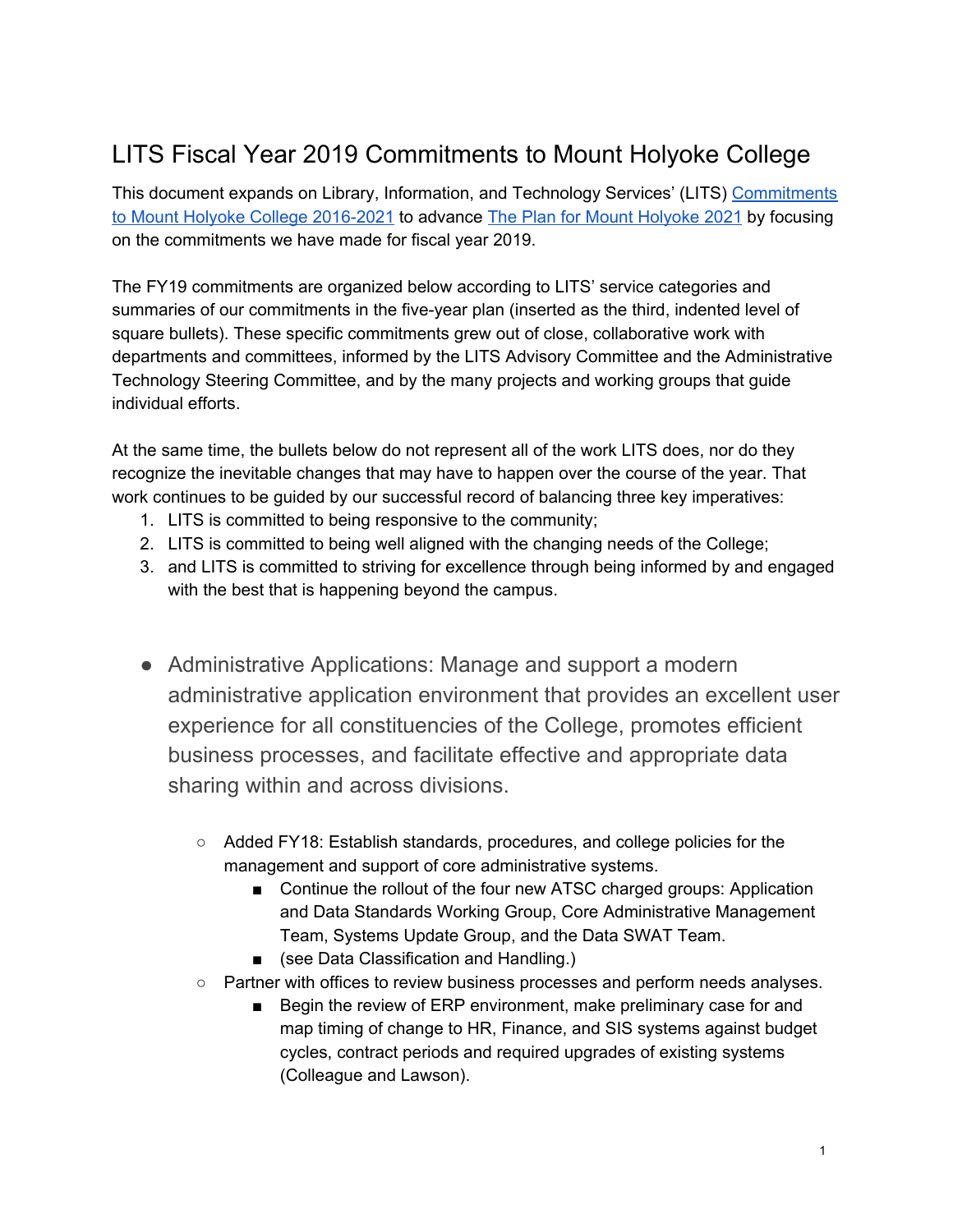## LITS Fiscal Year 2019 Commitments to Mount Holyoke College

This document expands on Library, Information, and Technology Services' (LITS) [Commitments](https://www.mtholyoke.edu/sites/default/files/lits/docs/LITSCommitmentstoMHC2016-2021.pdf) to Mount Holyoke College [2016-2021](https://www.mtholyoke.edu/sites/default/files/lits/docs/LITSCommitmentstoMHC2016-2021.pdf) to advance The Plan for Mount [Holyoke](https://www.mtholyoke.edu/iplanning/strategic-plan-summary) 2021 by focusing on the commitments we have made for fiscal year 2019.

The FY19 commitments are organized below according to LITS' service categories and summaries of our commitments in the five-year plan (inserted as the third, indented level of square bullets). These specific commitments grew out of close, collaborative work with departments and committees, informed by the LITS Advisory Committee and the Administrative Technology Steering Committee, and by the many projects and working groups that guide individual efforts.

At the same time, the bullets below do not represent all of the work LITS does, nor do they recognize the inevitable changes that may have to happen over the course of the year. That work continues to be guided by our successful record of balancing three key imperatives:

- 1. LITS is committed to being responsive to the community;
- 2. LITS is committed to being well aligned with the changing needs of the College;
- 3. and LITS is committed to striving for excellence through being informed by and engaged with the best that is happening beyond the campus.
- Administrative Applications: Manage and support a modern administrative application environment that provides an excellent user experience for all constituencies of the College, promotes efficient business processes, and facilitate effective and appropriate data sharing within and across divisions.
	- Added FY18: Establish standards, procedures, and college policies for the management and support of core administrative systems.
		- Continue the rollout of the four new ATSC charged groups: Application and Data Standards Working Group, Core Administrative Management Team, Systems Update Group, and the Data SWAT Team.
		- (see Data Classification and Handling.)
	- Partner with offices to review business processes and perform needs analyses.
		- Begin the review of ERP environment, make preliminary case for and map timing of change to HR, Finance, and SIS systems against budget cycles, contract periods and required upgrades of existing systems (Colleague and Lawson).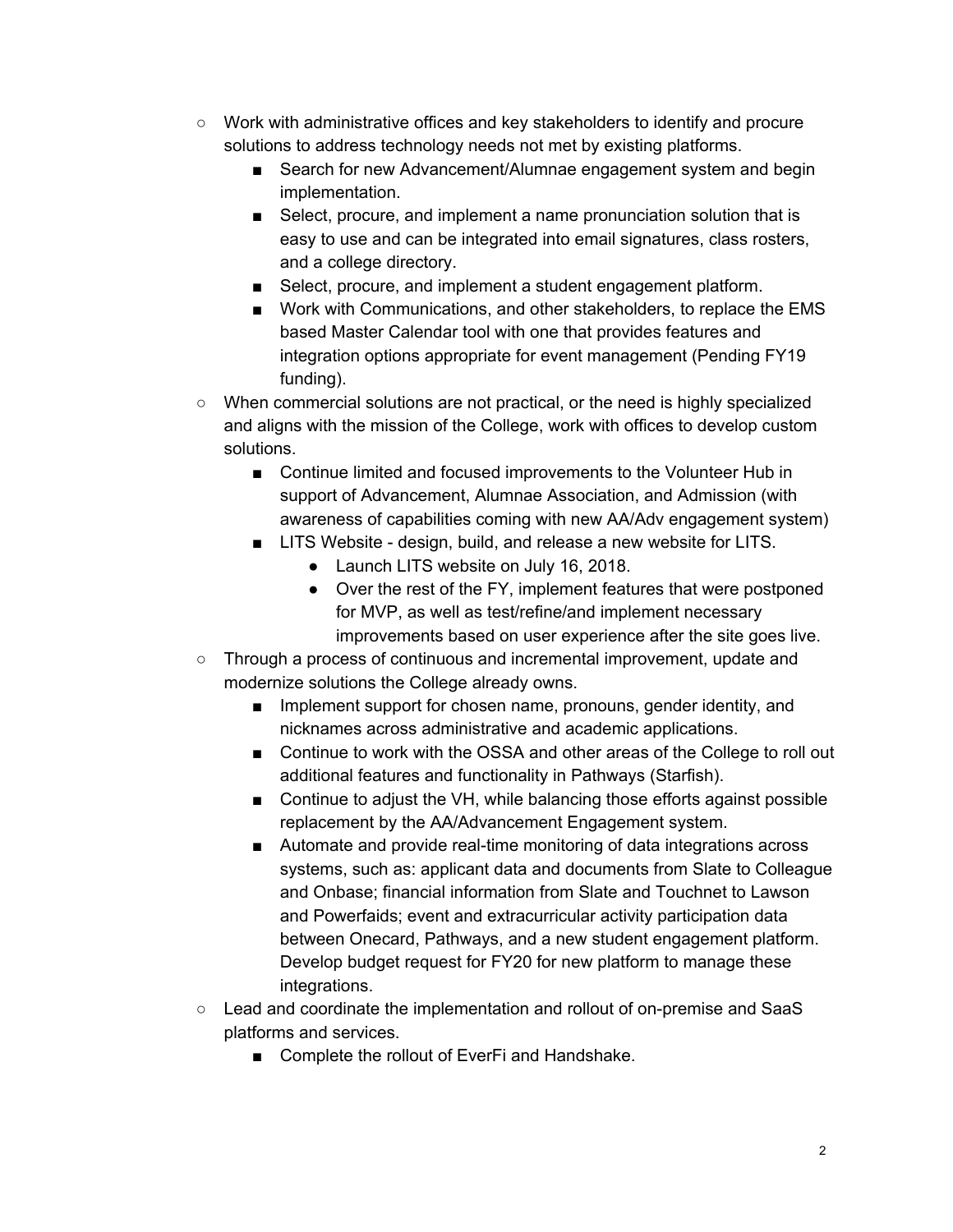- Work with administrative offices and key stakeholders to identify and procure solutions to address technology needs not met by existing platforms.
	- Search for new Advancement/Alumnae engagement system and begin implementation.
	- Select, procure, and implement a name pronunciation solution that is easy to use and can be integrated into email signatures, class rosters, and a college directory.
	- Select, procure, and implement a student engagement platform.
	- Work with Communications, and other stakeholders, to replace the EMS based Master Calendar tool with one that provides features and integration options appropriate for event management (Pending FY19 funding).
- When commercial solutions are not practical, or the need is highly specialized and aligns with the mission of the College, work with offices to develop custom solutions.
	- Continue limited and focused improvements to the Volunteer Hub in support of Advancement, Alumnae Association, and Admission (with awareness of capabilities coming with new AA/Adv engagement system)
	- LITS Website design, build, and release a new website for LITS.
		- Launch LITS website on July 16, 2018.
		- Over the rest of the FY, implement features that were postponed for MVP, as well as test/refine/and implement necessary improvements based on user experience after the site goes live.
- Through a process of continuous and incremental improvement, update and modernize solutions the College already owns.
	- Implement support for chosen name, pronouns, gender identity, and nicknames across administrative and academic applications.
	- Continue to work with the OSSA and other areas of the College to roll out additional features and functionality in Pathways (Starfish).
	- Continue to adjust the VH, while balancing those efforts against possible replacement by the AA/Advancement Engagement system.
	- Automate and provide real-time monitoring of data integrations across systems, such as: applicant data and documents from Slate to Colleague and Onbase; financial information from Slate and Touchnet to Lawson and Powerfaids; event and extracurricular activity participation data between Onecard, Pathways, and a new student engagement platform. Develop budget request for FY20 for new platform to manage these integrations.
- Lead and coordinate the implementation and rollout of on-premise and SaaS platforms and services.
	- Complete the rollout of EverFi and Handshake.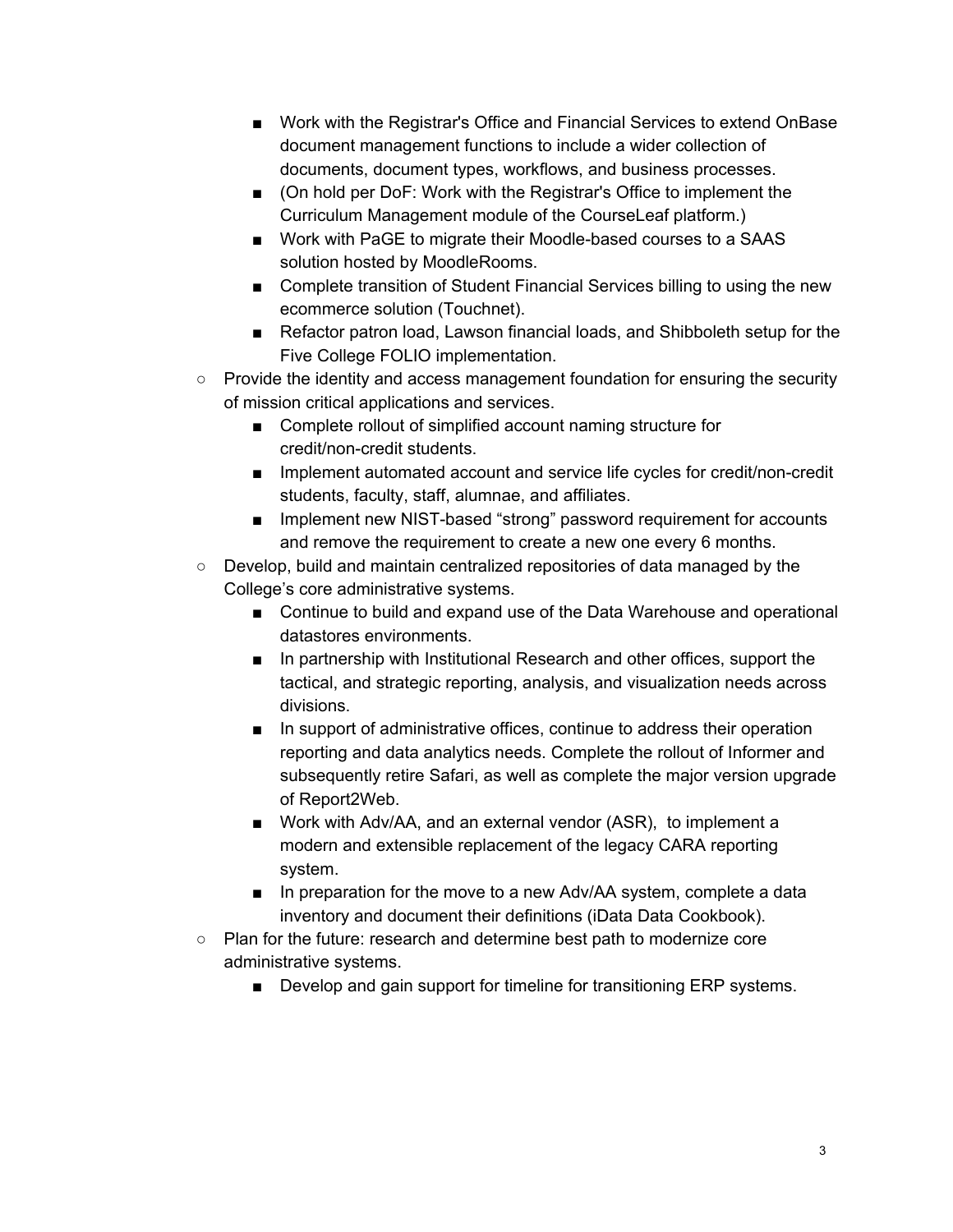- Work with the Registrar's Office and Financial Services to extend OnBase document management functions to include a wider collection of documents, document types, workflows, and business processes.
- (On hold per DoF: Work with the Registrar's Office to implement the Curriculum Management module of the CourseLeaf platform.)
- Work with PaGE to migrate their Moodle-based courses to a SAAS solution hosted by MoodleRooms.
- Complete transition of Student Financial Services billing to using the new ecommerce solution (Touchnet).
- Refactor patron load, Lawson financial loads, and Shibboleth setup for the Five College FOLIO implementation.
- Provide the identity and access management foundation for ensuring the security of mission critical applications and services.
	- Complete rollout of simplified account naming structure for credit/non-credit students.
	- Implement automated account and service life cycles for credit/non-credit students, faculty, staff, alumnae, and affiliates.
	- Implement new NIST-based "strong" password requirement for accounts and remove the requirement to create a new one every 6 months.
- Develop, build and maintain centralized repositories of data managed by the College's core administrative systems.
	- Continue to build and expand use of the Data Warehouse and operational datastores environments.
	- In partnership with Institutional Research and other offices, support the tactical, and strategic reporting, analysis, and visualization needs across divisions.
	- In support of administrative offices, continue to address their operation reporting and data analytics needs. Complete the rollout of Informer and subsequently retire Safari, as well as complete the major version upgrade of Report2Web.
	- Work with Adv/AA, and an external vendor (ASR), to implement a modern and extensible replacement of the legacy CARA reporting system.
	- In preparation for the move to a new Adv/AA system, complete a data inventory and document their definitions (iData Data Cookbook).
- Plan for the future: research and determine best path to modernize core administrative systems.
	- Develop and gain support for timeline for transitioning ERP systems.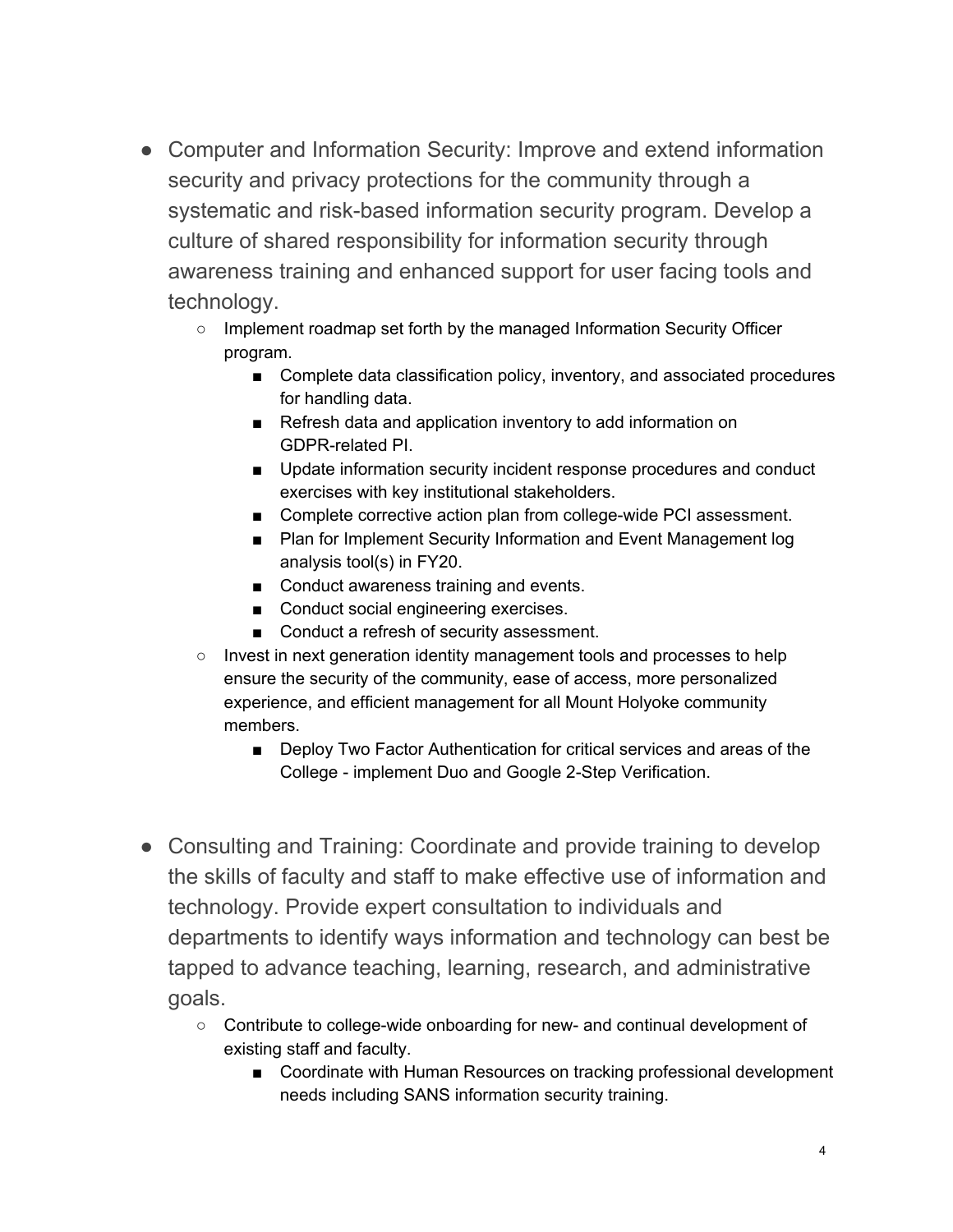- Computer and Information Security: Improve and extend information security and privacy protections for the community through a systematic and risk-based information security program. Develop a culture of shared responsibility for information security through awareness training and enhanced support for user facing tools and technology.
	- Implement roadmap set forth by the managed Information Security Officer program.
		- Complete data classification policy, inventory, and associated procedures for handling data.
		- Refresh data and application inventory to add information on GDPR-related PI.
		- Update information security incident response procedures and conduct exercises with key institutional stakeholders.
		- Complete corrective action plan from college-wide PCI assessment.
		- Plan for Implement Security Information and Event Management log analysis tool(s) in FY20.
		- Conduct awareness training and events.
		- Conduct social engineering exercises.
		- Conduct a refresh of security assessment.
	- Invest in next generation identity management tools and processes to help ensure the security of the community, ease of access, more personalized experience, and efficient management for all Mount Holyoke community members.
		- Deploy Two Factor Authentication for critical services and areas of the College - implement Duo and Google 2-Step Verification.
- Consulting and Training: Coordinate and provide training to develop the skills of faculty and staff to make effective use of information and technology. Provide expert consultation to individuals and departments to identify ways information and technology can best be tapped to advance teaching, learning, research, and administrative goals.
	- Contribute to college-wide onboarding for new- and continual development of existing staff and faculty.
		- Coordinate with Human Resources on tracking professional development needs including SANS information security training.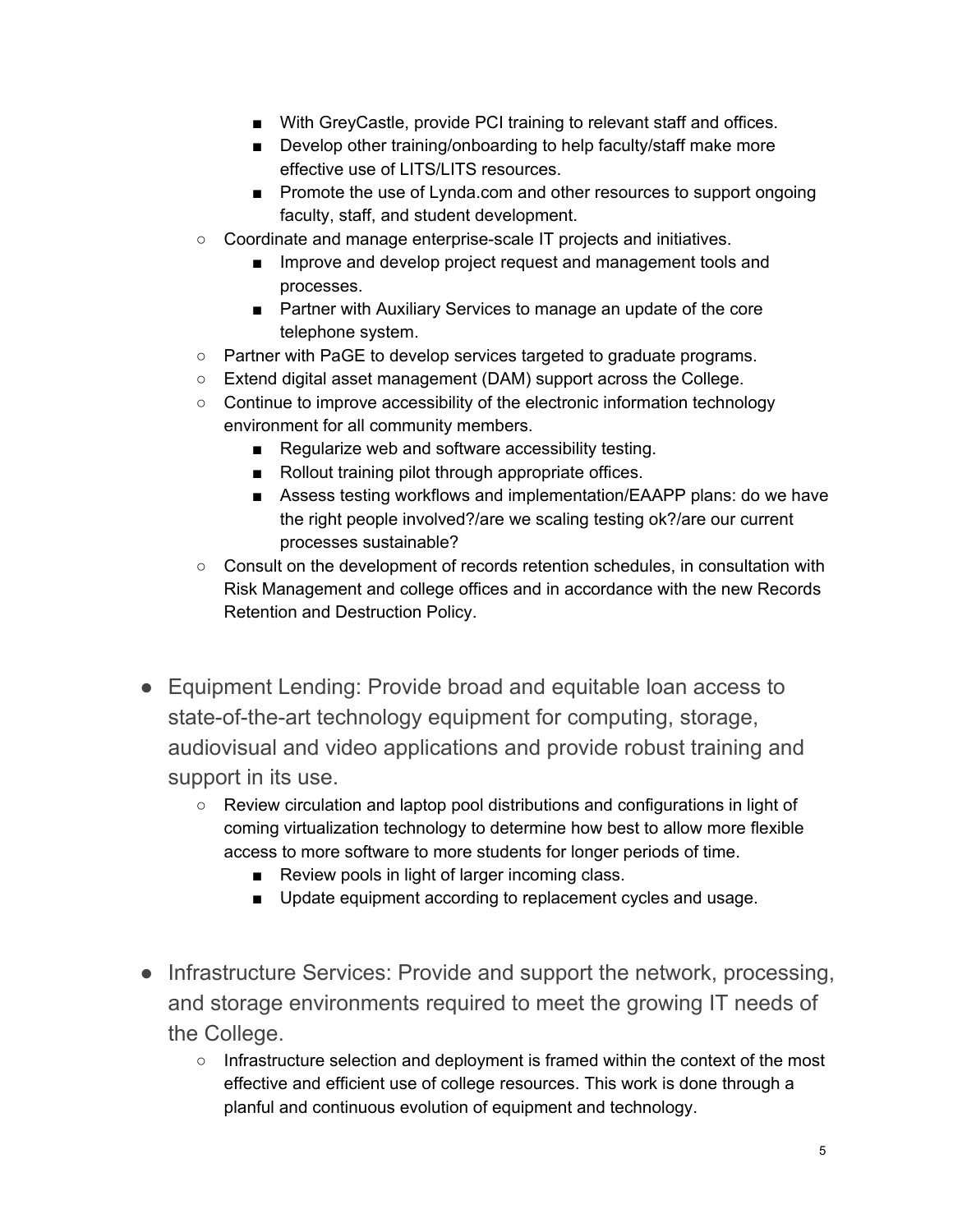- With GreyCastle, provide PCI training to relevant staff and offices.
- Develop other training/onboarding to help faculty/staff make more effective use of LITS/LITS resources.
- Promote the use of Lynda.com and other resources to support ongoing faculty, staff, and student development.
- Coordinate and manage enterprise-scale IT projects and initiatives.
	- Improve and develop project request and management tools and processes.
	- Partner with Auxiliary Services to manage an update of the core telephone system.
- Partner with PaGE to develop services targeted to graduate programs.
- Extend digital asset management (DAM) support across the College.
- Continue to improve accessibility of the electronic information technology environment for all community members.
	- Regularize web and software accessibility testing.
	- Rollout training pilot through appropriate offices.
	- Assess testing workflows and implementation/EAAPP plans: do we have the right people involved?/are we scaling testing ok?/are our current processes sustainable?
- Consult on the development of records retention schedules, in consultation with Risk Management and college offices and in accordance with the new Records Retention and Destruction Policy.
- Equipment Lending: Provide broad and equitable loan access to state-of-the-art technology equipment for computing, storage, audiovisual and video applications and provide robust training and support in its use.
	- Review circulation and laptop pool distributions and configurations in light of coming virtualization technology to determine how best to allow more flexible access to more software to more students for longer periods of time.
		- Review pools in light of larger incoming class.
		- Update equipment according to replacement cycles and usage.
- Infrastructure Services: Provide and support the network, processing, and storage environments required to meet the growing IT needs of the College.
	- Infrastructure selection and deployment is framed within the context of the most effective and efficient use of college resources. This work is done through a planful and continuous evolution of equipment and technology.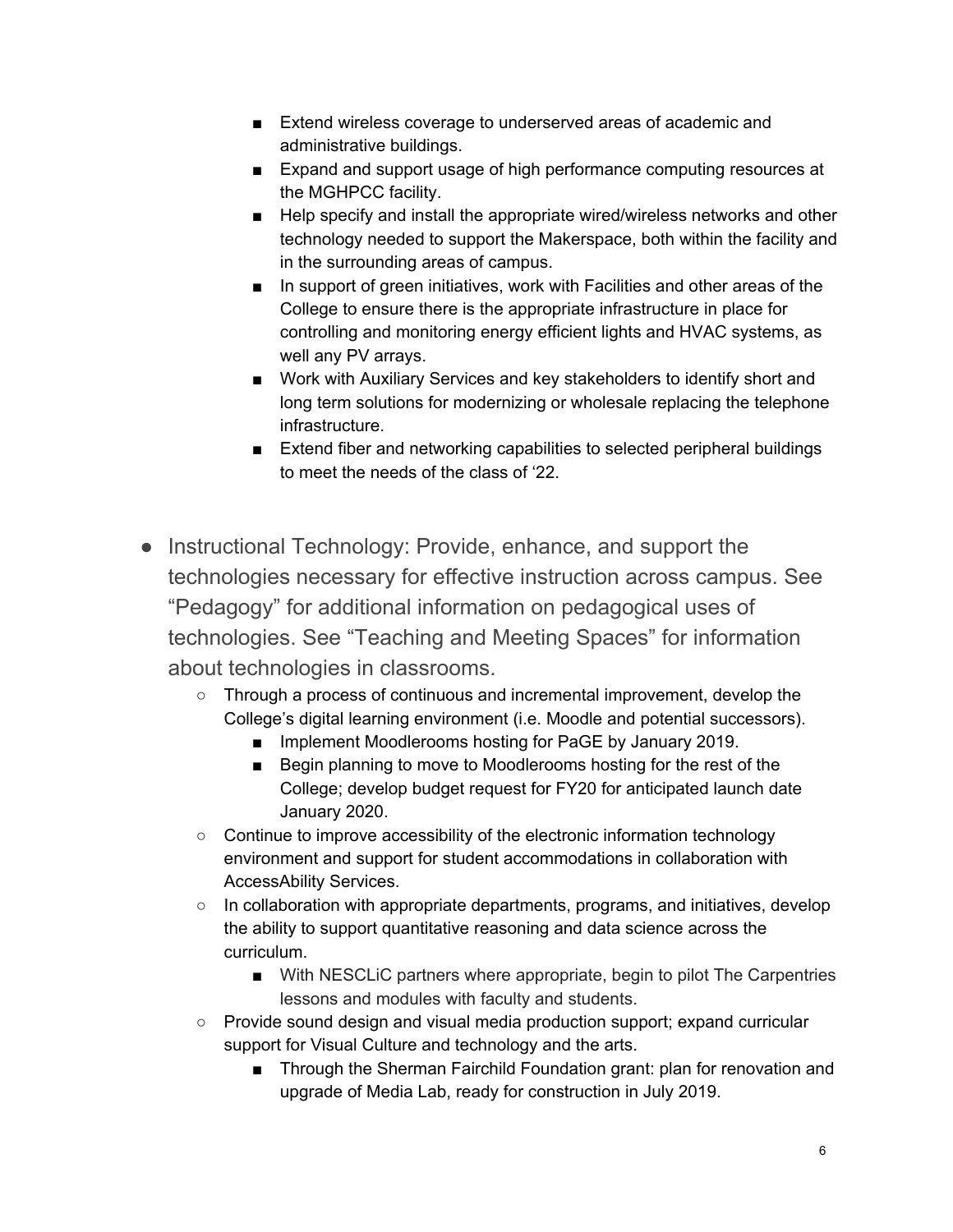- Extend wireless coverage to underserved areas of academic and administrative buildings.
- Expand and support usage of high performance computing resources at the MGHPCC facility.
- Help specify and install the appropriate wired/wireless networks and other technology needed to support the Makerspace, both within the facility and in the surrounding areas of campus.
- In support of green initiatives, work with Facilities and other areas of the College to ensure there is the appropriate infrastructure in place for controlling and monitoring energy efficient lights and HVAC systems, as well any PV arrays.
- Work with Auxiliary Services and key stakeholders to identify short and long term solutions for modernizing or wholesale replacing the telephone infrastructure.
- Extend fiber and networking capabilities to selected peripheral buildings to meet the needs of the class of '22.
- Instructional Technology: Provide, enhance, and support the technologies necessary for effective instruction across campus. See "Pedagogy" for additional information on pedagogical uses of technologies. See "Teaching and Meeting Spaces" for information about technologies in classrooms.
	- Through a process of continuous and incremental improvement, develop the College's digital learning environment (i.e. Moodle and potential successors).
		- Implement Moodlerooms hosting for PaGE by January 2019.
		- Begin planning to move to Moodlerooms hosting for the rest of the College; develop budget request for FY20 for anticipated launch date January 2020.
	- Continue to improve accessibility of the electronic information technology environment and support for student accommodations in collaboration with AccessAbility Services.
	- In collaboration with appropriate departments, programs, and initiatives, develop the ability to support quantitative reasoning and data science across the curriculum.
		- With NESCLiC partners where appropriate, begin to pilot The Carpentries lessons and modules with faculty and students.
	- Provide sound design and visual media production support; expand curricular support for Visual Culture and technology and the arts.
		- Through the Sherman Fairchild Foundation grant: plan for renovation and upgrade of Media Lab, ready for construction in July 2019.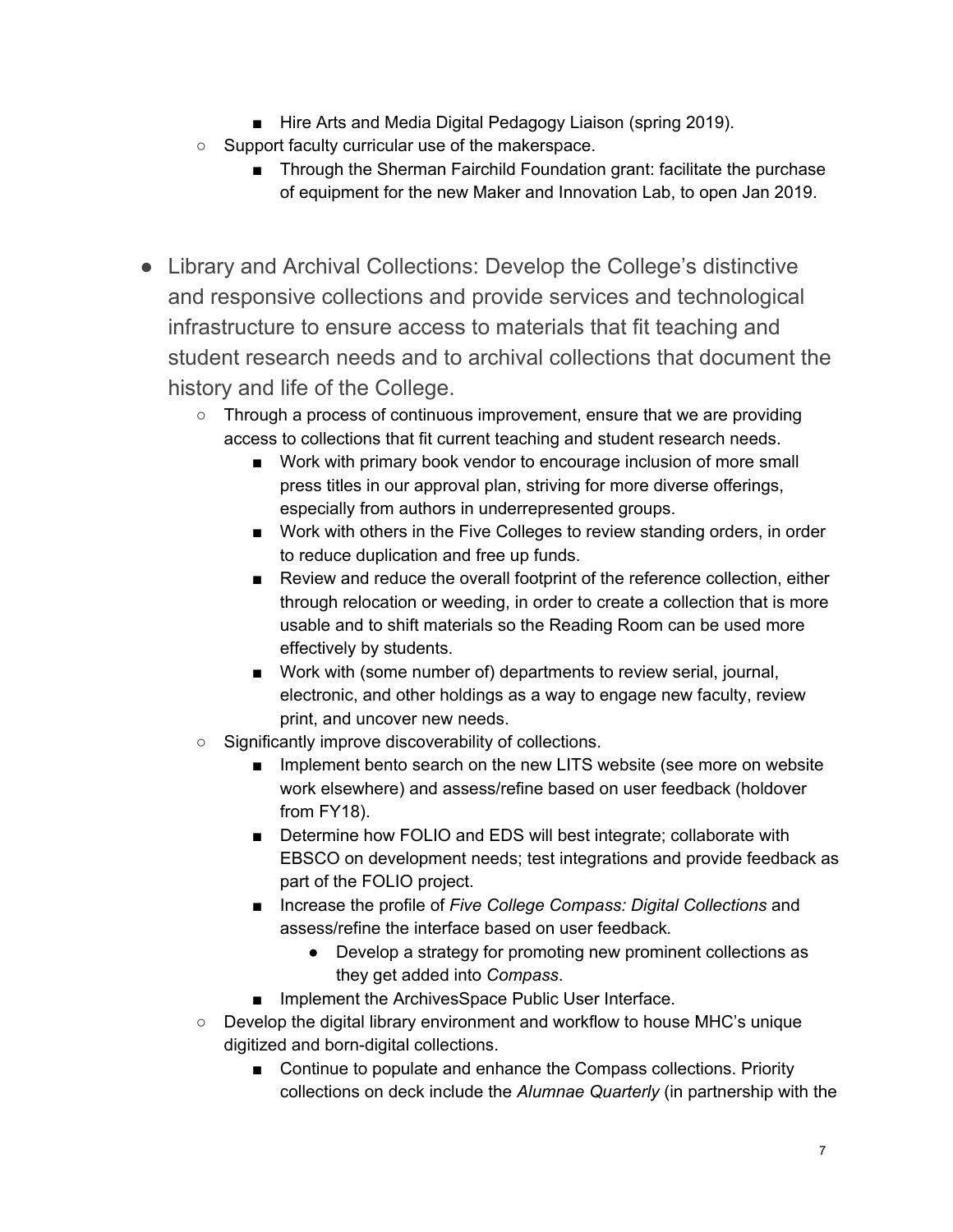- Hire Arts and Media Digital Pedagogy Liaison (spring 2019).
- Support faculty curricular use of the makerspace.
	- Through the Sherman Fairchild Foundation grant: facilitate the purchase of equipment for the new Maker and Innovation Lab, to open Jan 2019.
- Library and Archival Collections: Develop the College's distinctive and responsive collections and provide services and technological infrastructure to ensure access to materials that fit teaching and student research needs and to archival collections that document the history and life of the College.
	- Through a process of continuous improvement, ensure that we are providing access to collections that fit current teaching and student research needs.
		- Work with primary book vendor to encourage inclusion of more small press titles in our approval plan, striving for more diverse offerings, especially from authors in underrepresented groups.
		- Work with others in the Five Colleges to review standing orders, in order to reduce duplication and free up funds.
		- Review and reduce the overall footprint of the reference collection, either through relocation or weeding, in order to create a collection that is more usable and to shift materials so the Reading Room can be used more effectively by students.
		- Work with (some number of) departments to review serial, journal, electronic, and other holdings as a way to engage new faculty, review print, and uncover new needs.
	- Significantly improve discoverability of collections.
		- Implement bento search on the new LITS website (see more on website work elsewhere) and assess/refine based on user feedback (holdover from FY18).
		- Determine how FOLIO and EDS will best integrate; collaborate with EBSCO on development needs; test integrations and provide feedback as part of the FOLIO project.
		- Increase the profile of *Five College Compass: Digital Collections* and assess/refine the interface based on user feedback*.*
			- Develop a strategy for promoting new prominent collections as they get added into *Compass*.
		- Implement the ArchivesSpace Public User Interface.
	- $\circ$  Develop the digital library environment and workflow to house MHC's unique digitized and born-digital collections.
		- Continue to populate and enhance the Compass collections. Priority collections on deck include the *Alumnae Quarterly* (in partnership with the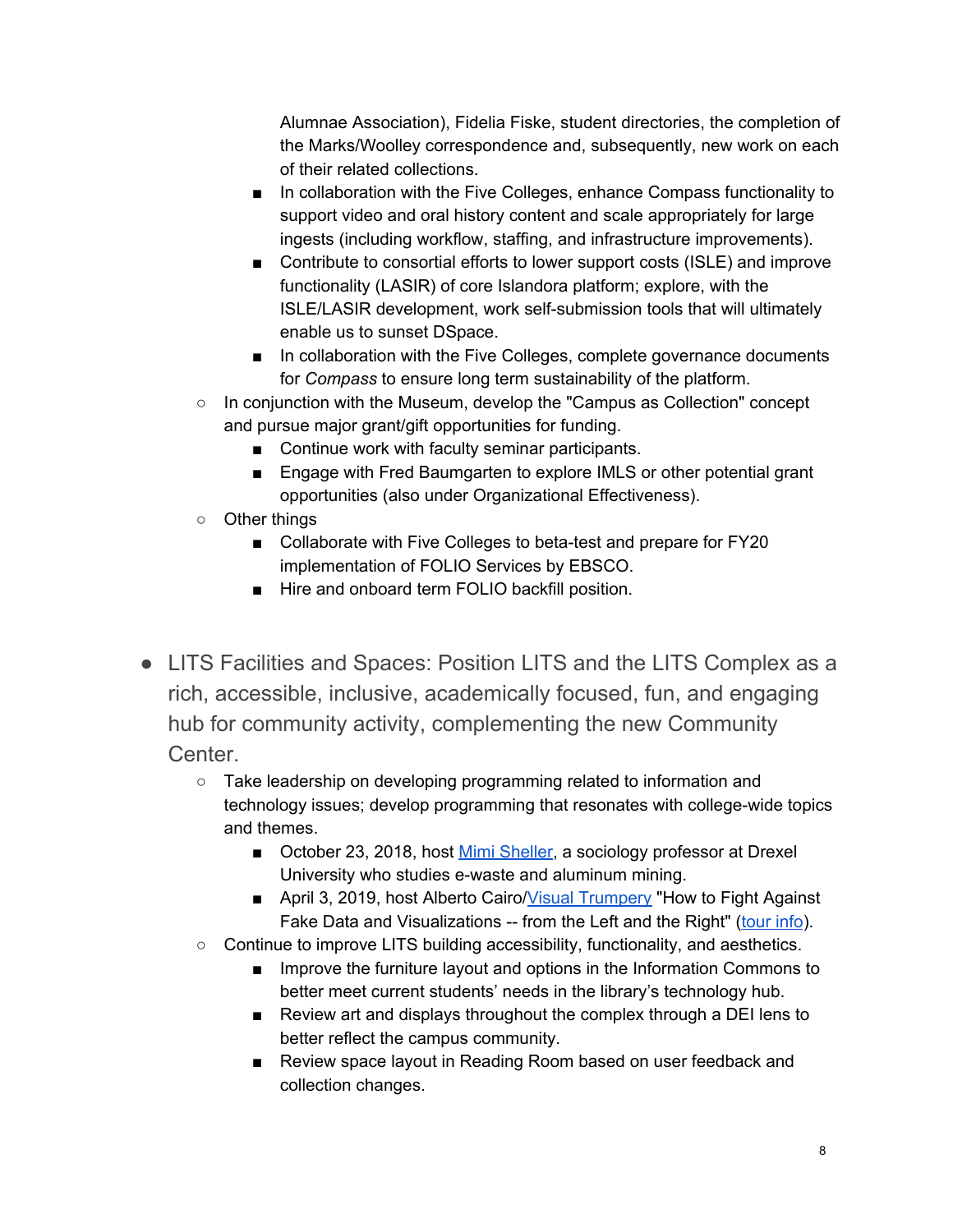Alumnae Association), Fidelia Fiske, student directories, the completion of the Marks/Woolley correspondence and, subsequently, new work on each of their related collections.

- In collaboration with the Five Colleges, enhance Compass functionality to support video and oral history content and scale appropriately for large ingests (including workflow, staffing, and infrastructure improvements).
- Contribute to consortial efforts to lower support costs (ISLE) and improve functionality (LASIR) of core Islandora platform; explore, with the ISLE/LASIR development, work self-submission tools that will ultimately enable us to sunset DSpace.
- In collaboration with the Five Colleges, complete governance documents for *Compass* to ensure long term sustainability of the platform.
- In conjunction with the Museum, develop the "Campus as Collection" concept and pursue major grant/gift opportunities for funding.
	- Continue work with faculty seminar participants.
	- Engage with Fred Baumgarten to explore IMLS or other potential grant opportunities (also under Organizational Effectiveness).
- Other things
	- Collaborate with Five Colleges to beta-test and prepare for FY20 implementation of FOLIO Services by EBSCO.
	- Hire and onboard term FOLIO backfill position.
- LITS Facilities and Spaces: Position LITS and the LITS Complex as a rich, accessible, inclusive, academically focused, fun, and engaging hub for community activity, complementing the new Community Center.
	- Take leadership on developing programming related to information and technology issues; develop programming that resonates with college-wide topics and themes.
		- October 23, 2018, host Mimi [Sheller,](http://drexel.edu/now/experts/Overview/sheller-mimi/) a sociology professor at Drexel University who studies e-waste and aluminum mining.
		- April 3, 2019, host Alberto Cairo/Visual [Trumpery](https://visualtrumperytour.wordpress.com/) "How to Fight Against Fake Data and Visualizations -- from the Left and the Right" [\(tour](http://www.thefunctionalart.com/2017/02/announcing-visual-trumpery-lecture-tour.html) info).
	- Continue to improve LITS building accessibility, functionality, and aesthetics.
		- Improve the furniture layout and options in the Information Commons to better meet current students' needs in the library's technology hub.
		- Review art and displays throughout the complex through a DEI lens to better reflect the campus community.
		- Review space layout in Reading Room based on user feedback and collection changes.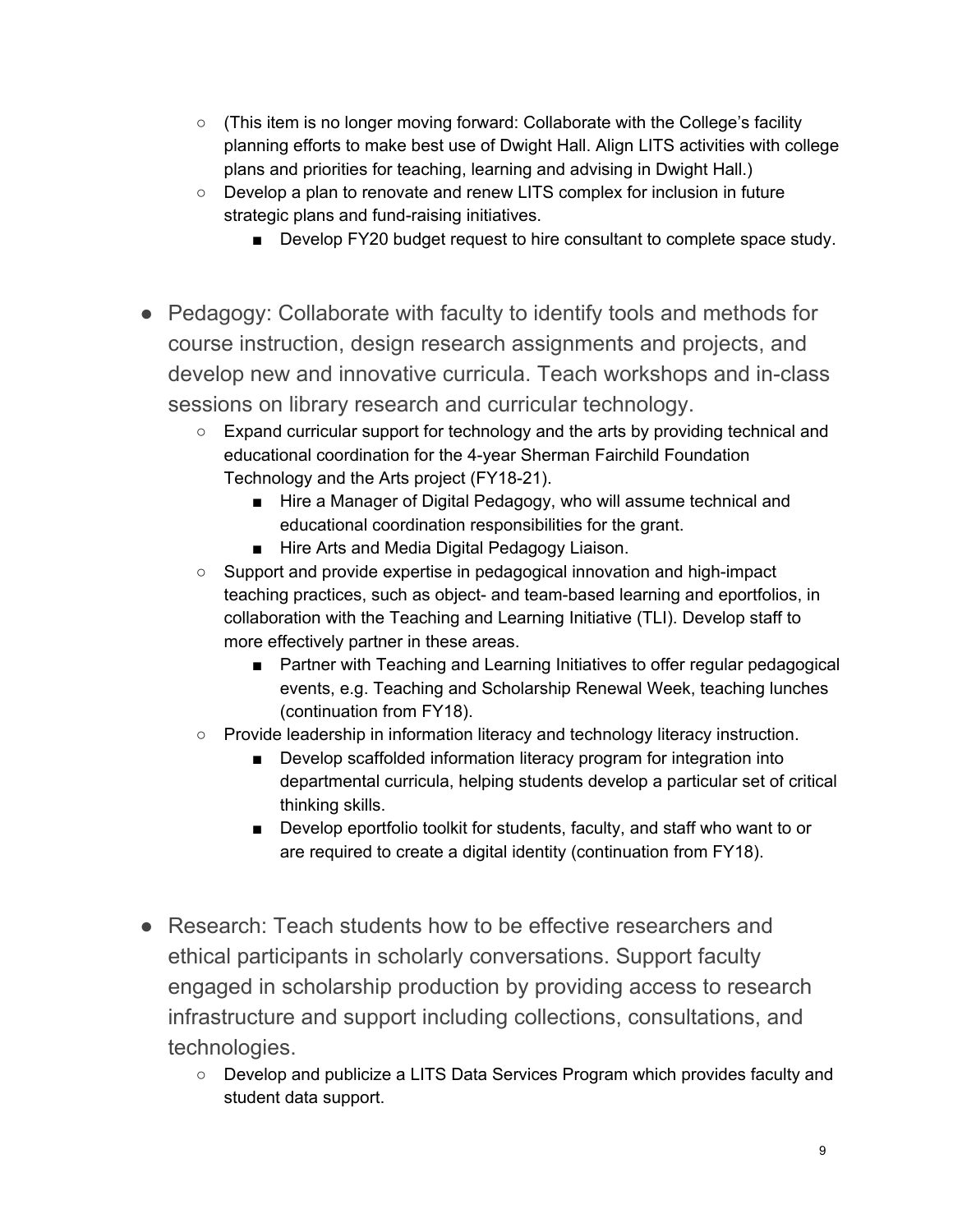- (This item is no longer moving forward: Collaborate with the College's facility planning efforts to make best use of Dwight Hall. Align LITS activities with college plans and priorities for teaching, learning and advising in Dwight Hall.)
- Develop a plan to renovate and renew LITS complex for inclusion in future strategic plans and fund-raising initiatives.
	- Develop FY20 budget request to hire consultant to complete space study.
- Pedagogy: Collaborate with faculty to identify tools and methods for course instruction, design research assignments and projects, and develop new and innovative curricula. Teach workshops and in-class sessions on library research and curricular technology.
	- Expand curricular support for technology and the arts by providing technical and educational coordination for the 4-year Sherman Fairchild Foundation Technology and the Arts project (FY18-21).
		- Hire a Manager of Digital Pedagogy, who will assume technical and educational coordination responsibilities for the grant.
		- Hire Arts and Media Digital Pedagogy Liaison.
	- Support and provide expertise in pedagogical innovation and high-impact teaching practices, such as object- and team-based learning and eportfolios, in collaboration with the Teaching and Learning Initiative (TLI). Develop staff to more effectively partner in these areas.
		- Partner with Teaching and Learning Initiatives to offer regular pedagogical events, e.g. Teaching and Scholarship Renewal Week, teaching lunches (continuation from FY18).
	- Provide leadership in information literacy and technology literacy instruction.
		- Develop scaffolded information literacy program for integration into departmental curricula, helping students develop a particular set of critical thinking skills.
		- Develop eportfolio toolkit for students, faculty, and staff who want to or are required to create a digital identity (continuation from FY18).
- Research: Teach students how to be effective researchers and ethical participants in scholarly conversations. Support faculty engaged in scholarship production by providing access to research infrastructure and support including collections, consultations, and technologies.
	- Develop and publicize a LITS Data Services Program which provides faculty and student data support.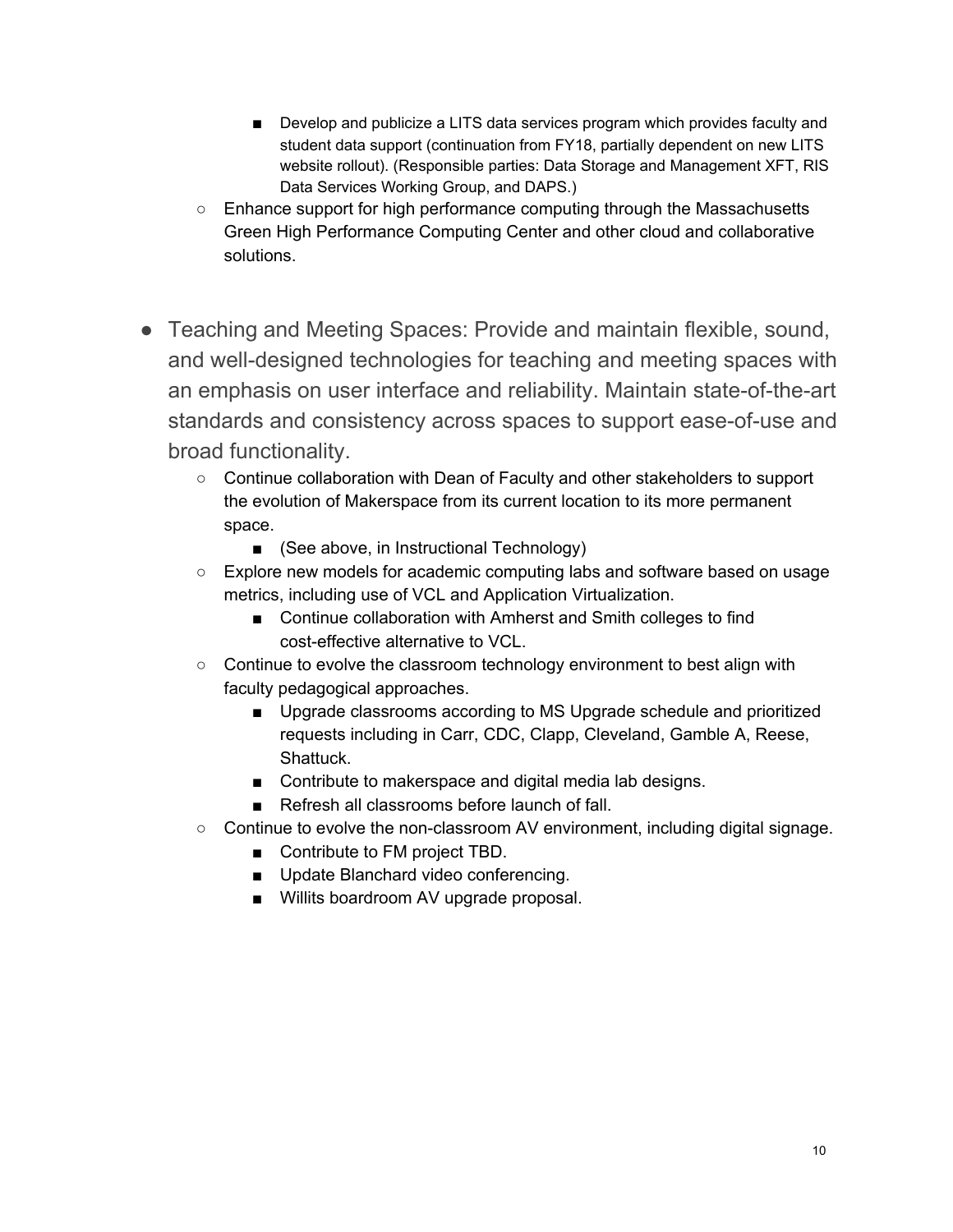- Develop and publicize a LITS data services program which provides faculty and student data support (continuation from FY18, partially dependent on new LITS website rollout). (Responsible parties: Data Storage and Management XFT, RIS Data Services Working Group, and DAPS.)
- Enhance support for high performance computing through the Massachusetts Green High Performance Computing Center and other cloud and collaborative solutions.
- Teaching and Meeting Spaces: Provide and maintain flexible, sound, and well-designed technologies for teaching and meeting spaces with an emphasis on user interface and reliability. Maintain state-of-the-art standards and consistency across spaces to support ease-of-use and broad functionality.
	- Continue collaboration with Dean of Faculty and other stakeholders to support the evolution of Makerspace from its current location to its more permanent space.
		- (See above, in Instructional Technology)
	- Explore new models for academic computing labs and software based on usage metrics, including use of VCL and Application Virtualization.
		- Continue collaboration with Amherst and Smith colleges to find cost-effective alternative to VCL.
	- Continue to evolve the classroom technology environment to best align with faculty pedagogical approaches.
		- Upgrade classrooms according to MS Upgrade schedule and prioritized requests including in Carr, CDC, Clapp, Cleveland, Gamble A, Reese, Shattuck.
		- Contribute to makerspace and digital media lab designs.
		- Refresh all classrooms before launch of fall.
	- $\circ$  Continue to evolve the non-classroom AV environment, including digital signage.
		- Contribute to FM project TBD.
		- Update Blanchard video conferencing.
		- Willits boardroom AV upgrade proposal.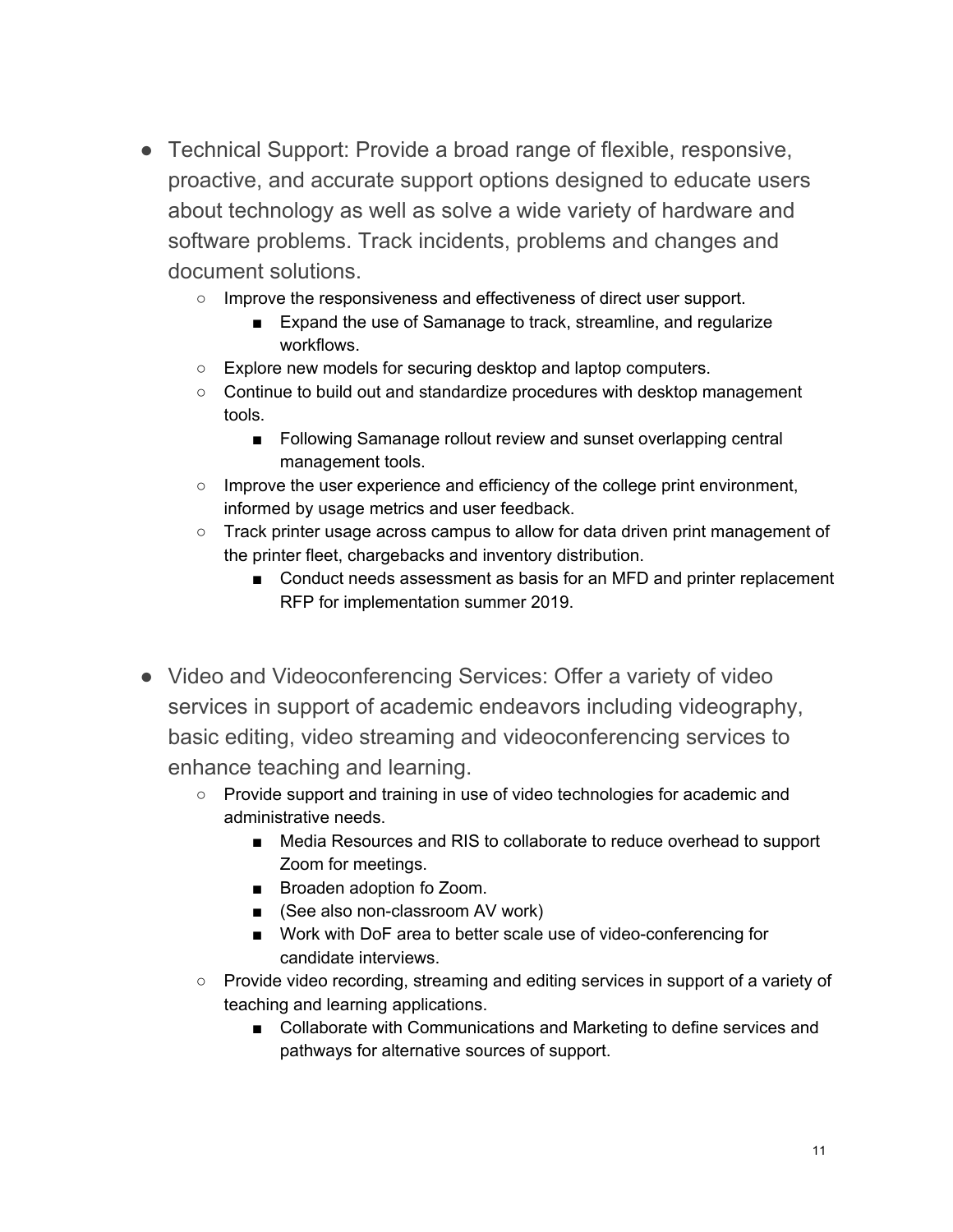- Technical Support: Provide a broad range of flexible, responsive, proactive, and accurate support options designed to educate users about technology as well as solve a wide variety of hardware and software problems. Track incidents, problems and changes and document solutions.
	- Improve the responsiveness and effectiveness of direct user support.
		- Expand the use of Samanage to track, streamline, and regularize workflows.
	- Explore new models for securing desktop and laptop computers.
	- Continue to build out and standardize procedures with desktop management tools.
		- Following Samanage rollout review and sunset overlapping central management tools.
	- Improve the user experience and efficiency of the college print environment, informed by usage metrics and user feedback.
	- Track printer usage across campus to allow for data driven print management of the printer fleet, chargebacks and inventory distribution.
		- Conduct needs assessment as basis for an MFD and printer replacement RFP for implementation summer 2019.
- Video and Videoconferencing Services: Offer a variety of video services in support of academic endeavors including videography, basic editing, video streaming and videoconferencing services to enhance teaching and learning.
	- Provide support and training in use of video technologies for academic and administrative needs.
		- Media Resources and RIS to collaborate to reduce overhead to support Zoom for meetings.
		- Broaden adoption fo Zoom.
		- (See also non-classroom AV work)
		- Work with DoF area to better scale use of video-conferencing for candidate interviews.
	- Provide video recording, streaming and editing services in support of a variety of teaching and learning applications.
		- Collaborate with Communications and Marketing to define services and pathways for alternative sources of support.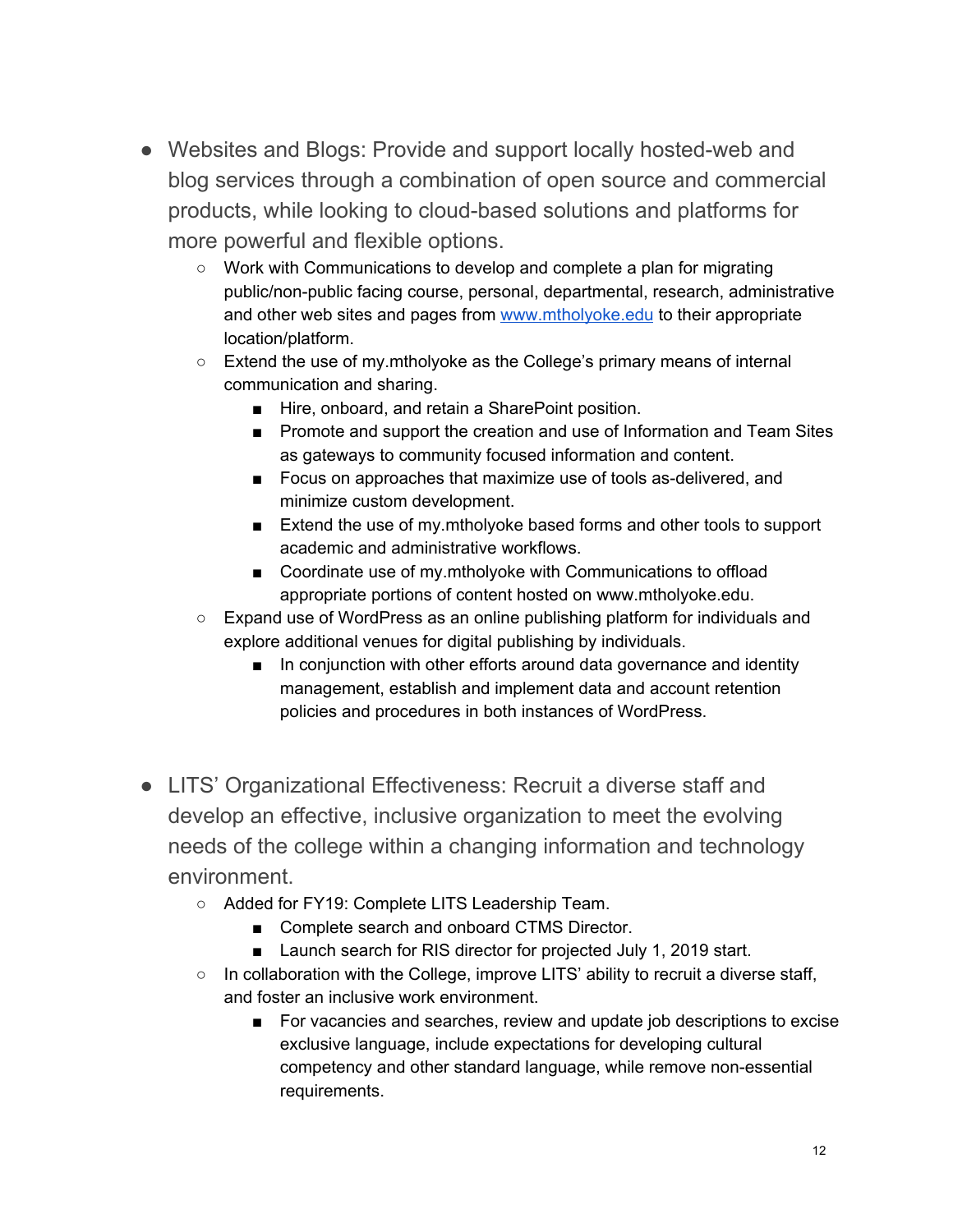- Websites and Blogs: Provide and support locally hosted-web and blog services through a combination of open source and commercial products, while looking to cloud-based solutions and platforms for more powerful and flexible options.
	- Work with Communications to develop and complete a plan for migrating public/non-public facing course, personal, departmental, research, administrative and other web sites and pages from [www.mtholyoke.edu](http://www.mtholyoke.edu/) to their appropriate location/platform.
	- Extend the use of my.mtholyoke as the College's primary means of internal communication and sharing.
		- Hire, onboard, and retain a SharePoint position.
		- Promote and support the creation and use of Information and Team Sites as gateways to community focused information and content.
		- Focus on approaches that maximize use of tools as-delivered, and minimize custom development.
		- Extend the use of my.mtholyoke based forms and other tools to support academic and administrative workflows.
		- Coordinate use of my.mtholyoke with Communications to offload appropriate portions of content hosted on www.mtholyoke.edu.
	- Expand use of WordPress as an online publishing platform for individuals and explore additional venues for digital publishing by individuals.
		- In conjunction with other efforts around data governance and identity management, establish and implement data and account retention policies and procedures in both instances of WordPress.
- LITS' Organizational Effectiveness: Recruit a diverse staff and develop an effective, inclusive organization to meet the evolving needs of the college within a changing information and technology environment.
	- Added for FY19: Complete LITS Leadership Team.
		- Complete search and onboard CTMS Director.
		- Launch search for RIS director for projected July 1, 2019 start.
	- In collaboration with the College, improve LITS' ability to recruit a diverse staff, and foster an inclusive work environment.
		- For vacancies and searches, review and update job descriptions to excise exclusive language, include expectations for developing cultural competency and other standard language, while remove non-essential requirements.